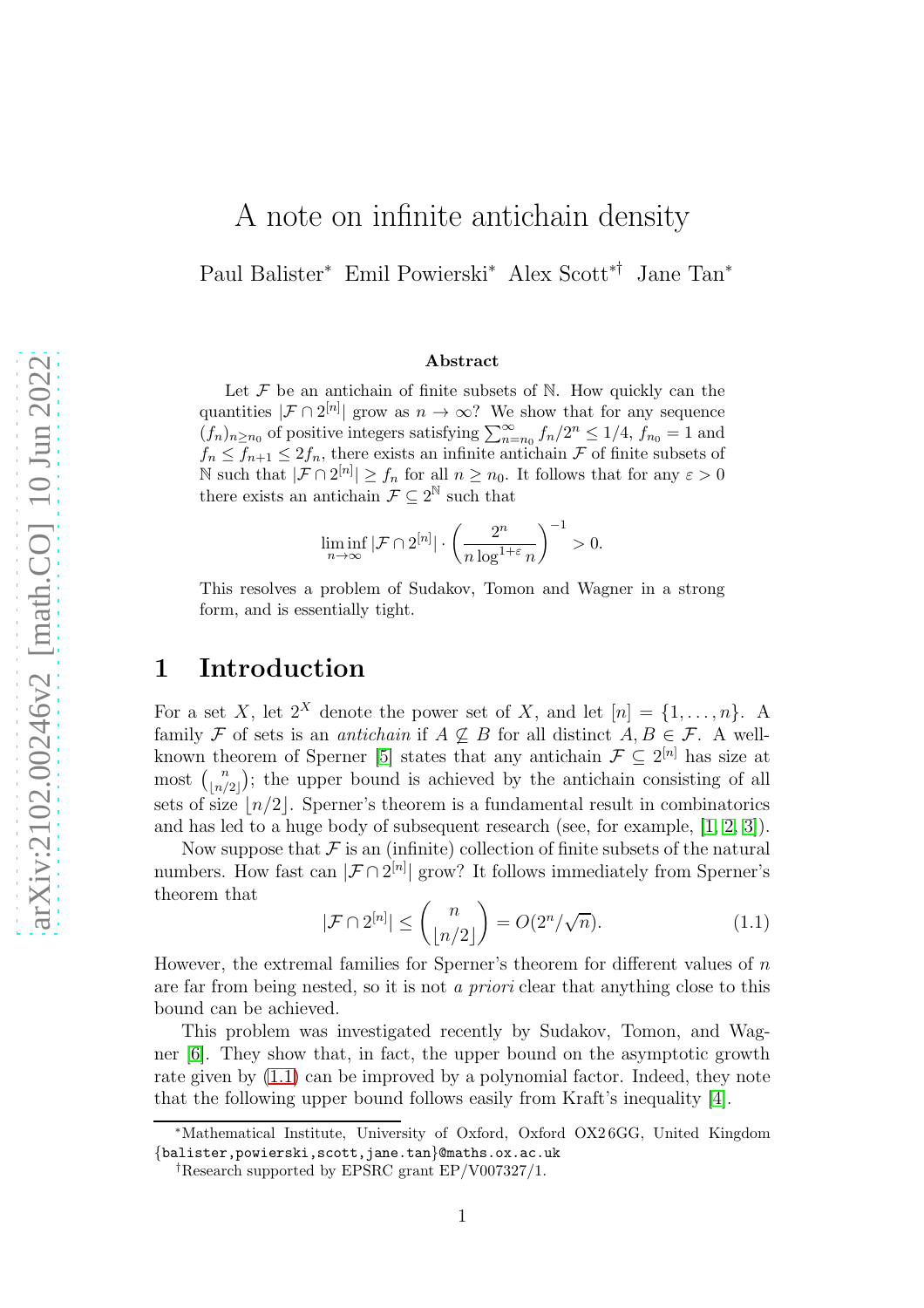# A note on infinite antichain density

Paul Balister<sup>∗</sup> Emil Powierski<sup>∗</sup> Alex Scott∗† Jane Tan<sup>∗</sup>

#### Abstract

Let  $\mathcal F$  be an antichain of finite subsets of  $\mathbb N$ . How quickly can the quantities  $|\mathcal{F} \cap 2^{[n]}|$  grow as  $n \to \infty$ ? We show that for any sequence  $(f_n)_{n \ge n_0}$  of positive integers satisfying  $\sum_{n=n_0}^{\infty} f_n/2^n \le 1/4$ ,  $f_{n_0} = 1$  and  $f_n \leq f_{n+1} \leq 2f_n$ , there exists an infinite antichain  $\mathcal F$  of finite subsets of  $\mathbb N$  such that  $|\mathcal{F} \cap 2^{[n]}| \geq f_n$  for all  $n \geq n_0$ . It follows that for any  $\varepsilon > 0$ there exists an antichain  $\mathcal{F} \subseteq 2^{\mathbb{N}}$  such that

$$
\liminf_{n \to \infty} |\mathcal{F} \cap 2^{[n]}| \cdot \left(\frac{2^n}{n \log^{1+\varepsilon} n}\right)^{-1} > 0.
$$

This resolves a problem of Sudakov, Tomon and Wagner in a strong form, and is essentially tight.

### 1 Introduction

For a set X, let  $2^X$  denote the power set of X, and let  $[n] = \{1, \ldots, n\}$ . A family F of sets is an *antichain* if  $A \nsubseteq B$  for all distinct  $A, B \in \mathcal{F}$ . A well-known theorem of Sperner [\[5\]](#page-5-0) states that any antichain  $\mathcal{F} \subseteq 2^{[n]}$  has size at most  $\binom{n}{\lfloor n/2\rfloor}$  $\binom{n}{\lfloor n/2 \rfloor}$ ; the upper bound is achieved by the antichain consisting of all sets of size  $\lfloor n/2 \rfloor$ . Sperner's theorem is a fundamental result in combinatorics and has led to a huge body of subsequent research (see, for example, [\[1,](#page-4-0) [2,](#page-4-1) [3\]](#page-4-2)).

Now suppose that  $\mathcal F$  is an (infinite) collection of finite subsets of the natural numbers. How fast can  $|\mathcal{F} \cap 2^{[n]}|$  grow? It follows immediately from Sperner's theorem that

<span id="page-0-0"></span>
$$
|\mathcal{F} \cap 2^{[n]}| \le {n \choose \lfloor n/2 \rfloor} = O(2^n/\sqrt{n}).\tag{1.1}
$$

However, the extremal families for Sperner's theorem for different values of  $n$ are far from being nested, so it is not a *priori* clear that anything close to this bound can be achieved.

This problem was investigated recently by Sudakov, Tomon, and Wagner [\[6\]](#page-5-1). They show that, in fact, the upper bound on the asymptotic growth rate given by [\(1.1\)](#page-0-0) can be improved by a polynomial factor. Indeed, they note that the following upper bound follows easily from Kraft's inequality [\[4\]](#page-5-2).

<sup>∗</sup>Mathematical Institute, University of Oxford, Oxford OX2 6GG, United Kingdom {balister,powierski,scott,jane.tan}@maths.ox.ac.uk

<sup>†</sup>Research supported by EPSRC grant EP/V007327/1.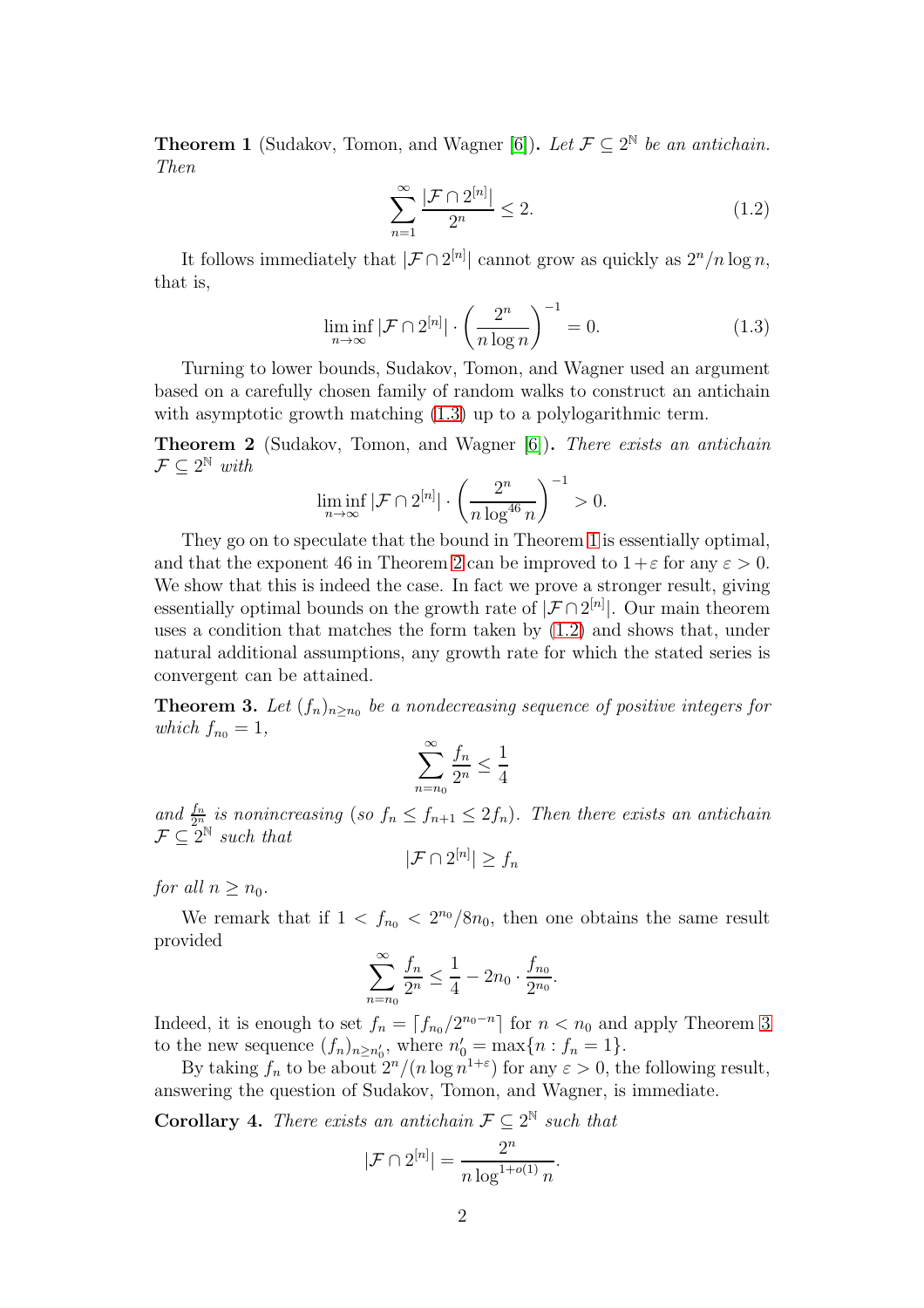<span id="page-1-1"></span>**Theorem 1** (Sudakov, Tomon, and Wagner [\[6\]](#page-5-1)). Let  $\mathcal{F} \subseteq 2^{\mathbb{N}}$  be an antichain. Then

<span id="page-1-3"></span><span id="page-1-0"></span>
$$
\sum_{n=1}^{\infty} \frac{|\mathcal{F} \cap 2^{[n]}|}{2^n} \le 2.
$$
\n(1.2)

It follows immediately that  $|\mathcal{F} \cap 2^{[n]}|$  cannot grow as quickly as  $2^n/n \log n$ , that is,

$$
\liminf_{n \to \infty} |\mathcal{F} \cap 2^{[n]}| \cdot \left(\frac{2^n}{n \log n}\right)^{-1} = 0.
$$
\n(1.3)

Turning to lower bounds, Sudakov, Tomon, and Wagner used an argument based on a carefully chosen family of random walks to construct an antichain with asymptotic growth matching  $(1.3)$  up to a polylogarithmic term.

<span id="page-1-2"></span>**Theorem 2** (Sudakov, Tomon, and Wagner [\[6\]](#page-5-1)). There exists an antichain  $\mathcal{F} \subseteq 2^{\mathbb{N}}$  with

$$
\liminf_{n\to\infty} |\mathcal F\cap 2^{[n]}|\cdot \left(\frac{2^n}{n\log^{46} n}\right)^{-1}>0.
$$

They go on to speculate that the bound in Theorem [1](#page-1-1) is essentially optimal, and that the exponent 46 in Theorem [2](#page-1-2) can be improved to  $1+\varepsilon$  for any  $\varepsilon > 0$ . We show that this is indeed the case. In fact we prove a stronger result, giving essentially optimal bounds on the growth rate of  $|\mathcal{F} \cap 2^{[n]}|$ . Our main theorem uses a condition that matches the form taken by [\(1.2\)](#page-1-3) and shows that, under natural additional assumptions, any growth rate for which the stated series is convergent can be attained.

<span id="page-1-4"></span>**Theorem 3.** Let  $(f_n)_{n \ge n_0}$  be a nondecreasing sequence of positive integers for which  $f_{n_0} = 1$ ,

$$
\sum_{n=n_0}^{\infty} \frac{f_n}{2^n} \le \frac{1}{4}
$$

and  $\frac{f_n}{2^n}$  is nonincreasing (so  $f_n \le f_{n+1} \le 2f_n$ ). Then there exists an antichain  $\mathcal{F} \subseteq 2^{\mathbb{N}}$  such that

$$
|\mathcal{F} \cap 2^{[n]}| \ge f_n
$$

for all  $n > n_0$ .

We remark that if  $1 < f_{n_0} < 2^{n_0}/8n_0$ , then one obtains the same result provided

$$
\sum_{n=n_0}^{\infty} \frac{f_n}{2^n} \le \frac{1}{4} - 2n_0 \cdot \frac{f_{n_0}}{2^{n_0}}.
$$

Indeed, it is enough to set  $f_n = \lceil f_{n_0}/2^{n_0 - n} \rceil$  for  $n < n_0$  and apply Theorem [3](#page-1-4) to the new sequence  $(f_n)_{n \geq n'_0}$ , where  $n'_0 = \max\{n : f_n = 1\}.$ 

By taking  $f_n$  to be about  $2^n/(n \log n^{1+\epsilon})$  for any  $\epsilon > 0$ , the following result, answering the question of Sudakov, Tomon, and Wagner, is immediate.

**Corollary 4.** There exists an antichain  $\mathcal{F} \subseteq 2^{\mathbb{N}}$  such that

$$
|\mathcal{F} \cap 2^{[n]}| = \frac{2^n}{n \log^{1+o(1)} n}.
$$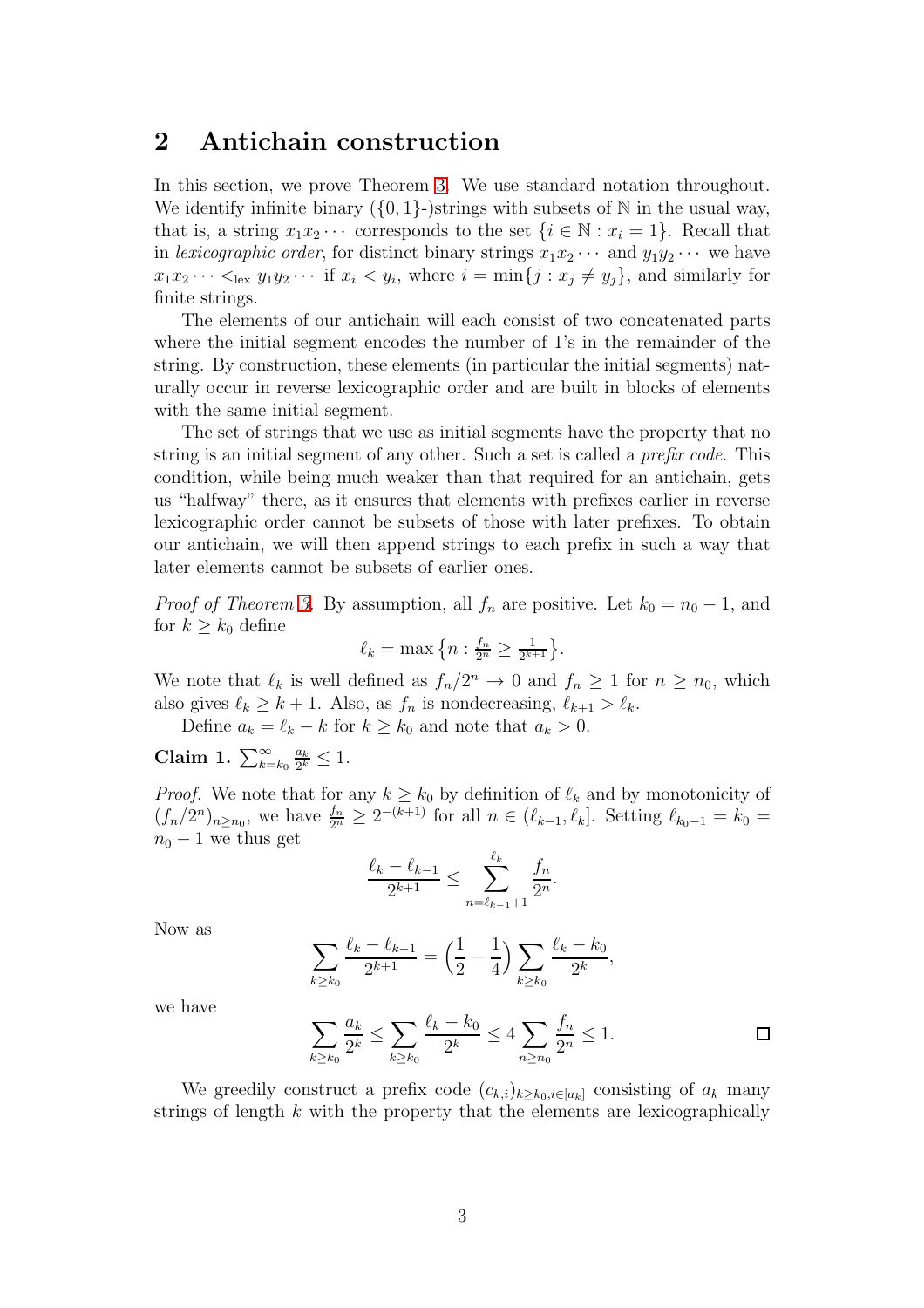### 2 Antichain construction

In this section, we prove Theorem [3.](#page-1-4) We use standard notation throughout. We identify infinite binary  $({0, 1})$ -)strings with subsets of N in the usual way, that is, a string  $x_1x_2 \cdots$  corresponds to the set  $\{i \in \mathbb{N} : x_i = 1\}$ . Recall that in lexicographic order, for distinct binary strings  $x_1x_2 \cdots$  and  $y_1y_2 \cdots$  we have  $x_1x_2 \cdots <_{\text{lex}} y_1y_2 \cdots$  if  $x_i < y_i$ , where  $i = \min\{j : x_j \neq y_j\}$ , and similarly for finite strings.

The elements of our antichain will each consist of two concatenated parts where the initial segment encodes the number of 1's in the remainder of the string. By construction, these elements (in particular the initial segments) naturally occur in reverse lexicographic order and are built in blocks of elements with the same initial segment.

The set of strings that we use as initial segments have the property that no string is an initial segment of any other. Such a set is called a prefix code. This condition, while being much weaker than that required for an antichain, gets us "halfway" there, as it ensures that elements with prefixes earlier in reverse lexicographic order cannot be subsets of those with later prefixes. To obtain our antichain, we will then append strings to each prefix in such a way that later elements cannot be subsets of earlier ones.

*Proof of Theorem [3.](#page-1-4)* By assumption, all  $f_n$  are positive. Let  $k_0 = n_0 - 1$ , and for  $k \geq k_0$  define

$$
\ell_k = \max\left\{n : \frac{f_n}{2^n} \ge \frac{1}{2^{k+1}}\right\}.
$$

We note that  $\ell_k$  is well defined as  $f_n/2^n \to 0$  and  $f_n \ge 1$  for  $n \ge n_0$ , which also gives  $\ell_k \geq k+1$ . Also, as  $f_n$  is nondecreasing,  $\ell_{k+1} > \ell_k$ .

Define  $a_k = \ell_k - k$  for  $k \geq k_0$  and note that  $a_k > 0$ .

Claim 1.  $\sum_{k=k_0}^{\infty}$  $a_k$  $\frac{a_k}{2^k} \leq 1$ .

*Proof.* We note that for any  $k \geq k_0$  by definition of  $\ell_k$  and by monotonicity of  $(f_n/2^n)_{n \ge n_0}$ , we have  $\frac{f_n}{2^n} \ge 2^{-(k+1)}$  for all  $n \in (\ell_{k-1}, \ell_k]$ . Setting  $\ell_{k_0-1} = k_0 =$  $n_0 - 1$  we thus get

$$
\frac{\ell_k - \ell_{k-1}}{2^{k+1}} \le \sum_{n=\ell_{k-1}+1}^{\ell_k} \frac{f_n}{2^n}
$$

Now as

$$
\sum_{k\geq k_0} \frac{\ell_k - \ell_{k-1}}{2^{k+1}} = \left(\frac{1}{2} - \frac{1}{4}\right) \sum_{k\geq k_0} \frac{\ell_k - k_0}{2^k},
$$

we have

$$
\sum_{k \ge k_0} \frac{a_k}{2^k} \le \sum_{k \ge k_0} \frac{\ell_k - k_0}{2^k} \le 4 \sum_{n \ge n_0} \frac{f_n}{2^n} \le 1.
$$

.

We greedily construct a prefix code  $(c_{k,i})_{k\geq k_0,i\in[a_k]}$  consisting of  $a_k$  many strings of length  $k$  with the property that the elements are lexicographically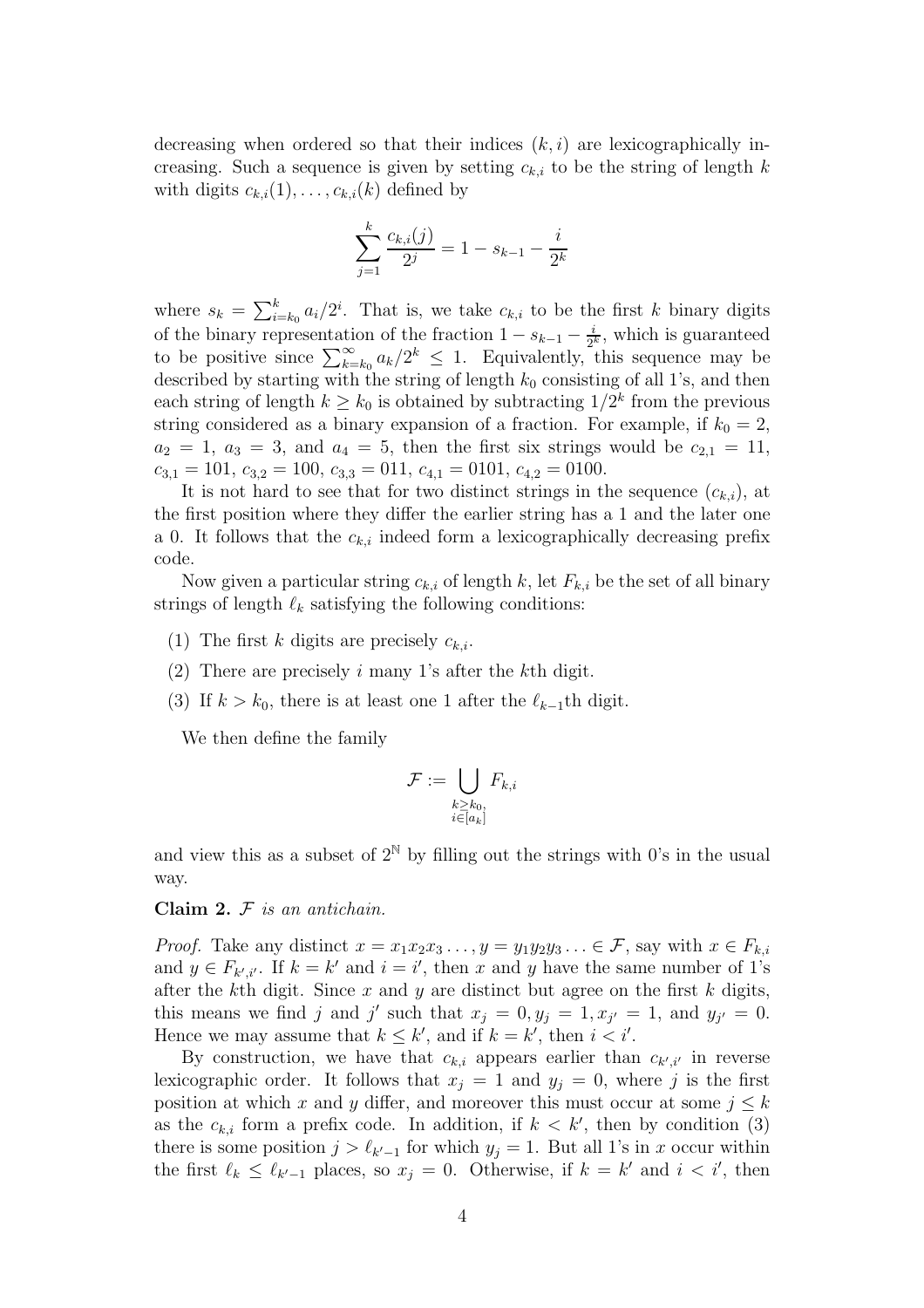decreasing when ordered so that their indices  $(k, i)$  are lexicographically increasing. Such a sequence is given by setting  $c_{k,i}$  to be the string of length k with digits  $c_{k,i}(1), \ldots, c_{k,i}(k)$  defined by

$$
\sum_{j=1}^{k} \frac{c_{k,i}(j)}{2^j} = 1 - s_{k-1} - \frac{i}{2^k}
$$

where  $s_k = \sum_{i=k_0}^k a_i/2^i$ . That is, we take  $c_{k,i}$  to be the first k binary digits of the binary representation of the fraction  $1 - s_{k-1} - \frac{i}{2^k}$  $\frac{i}{2^k}$ , which is guaranteed to be positive since  $\sum_{k=k_0}^{\infty} a_k/2^k \leq 1$ . Equivalently, this sequence may be described by starting with the string of length  $k_0$  consisting of all 1's, and then each string of length  $k \geq k_0$  is obtained by subtracting  $1/2^k$  from the previous string considered as a binary expansion of a fraction. For example, if  $k_0 = 2$ ,  $a_2 = 1, a_3 = 3,$  and  $a_4 = 5$ , then the first six strings would be  $c_{2,1} = 11$ ,  $c_{3,1} = 101, c_{3,2} = 100, c_{3,3} = 011, c_{4,1} = 0101, c_{4,2} = 0100.$ 

It is not hard to see that for two distinct strings in the sequence  $(c_{k,i})$ , at the first position where they differ the earlier string has a 1 and the later one a 0. It follows that the  $c_{k,i}$  indeed form a lexicographically decreasing prefix code.

Now given a particular string  $c_{k,i}$  of length k, let  $F_{k,i}$  be the set of all binary strings of length  $\ell_k$  satisfying the following conditions:

- (1) The first k digits are precisely  $c_{k,i}$ .
- (2) There are precisely i many 1's after the kth digit.
- (3) If  $k > k_0$ , there is at least one 1 after the  $\ell_{k-1}$ th digit.

We then define the family

$$
\mathcal{F}:=\bigcup_{\substack{k\geq k_0,\\i\in [a_k]}}F_{k,i}
$$

and view this as a subset of  $2^N$  by filling out the strings with 0's in the usual way.

#### Claim  $2. \nF$  is an antichain.

*Proof.* Take any distinct  $x = x_1x_2x_3..., y = y_1y_2y_3... \in \mathcal{F}$ , say with  $x \in F_{k,i}$ and  $y \in F_{k',i'}$ . If  $k = k'$  and  $i = i'$ , then x and y have the same number of 1's after the kth digit. Since  $x$  and  $y$  are distinct but agree on the first  $k$  digits, this means we find j and j' such that  $x_j = 0, y_j = 1, x_{j'} = 1$ , and  $y_{j'} = 0$ . Hence we may assume that  $k \leq k'$ , and if  $k = k'$ , then  $i < i'$ .

By construction, we have that  $c_{k,i}$  appears earlier than  $c_{k',i'}$  in reverse lexicographic order. It follows that  $x_j = 1$  and  $y_j = 0$ , where j is the first position at which x and y differ, and moreover this must occur at some  $j \leq k$ as the  $c_{k,i}$  form a prefix code. In addition, if  $k < k'$ , then by condition (3) there is some position  $j > \ell_{k'-1}$  for which  $y_j = 1$ . But all 1's in x occur within the first  $\ell_k \leq \ell_{k'-1}$  places, so  $x_j = 0$ . Otherwise, if  $k = k'$  and  $i < i'$ , then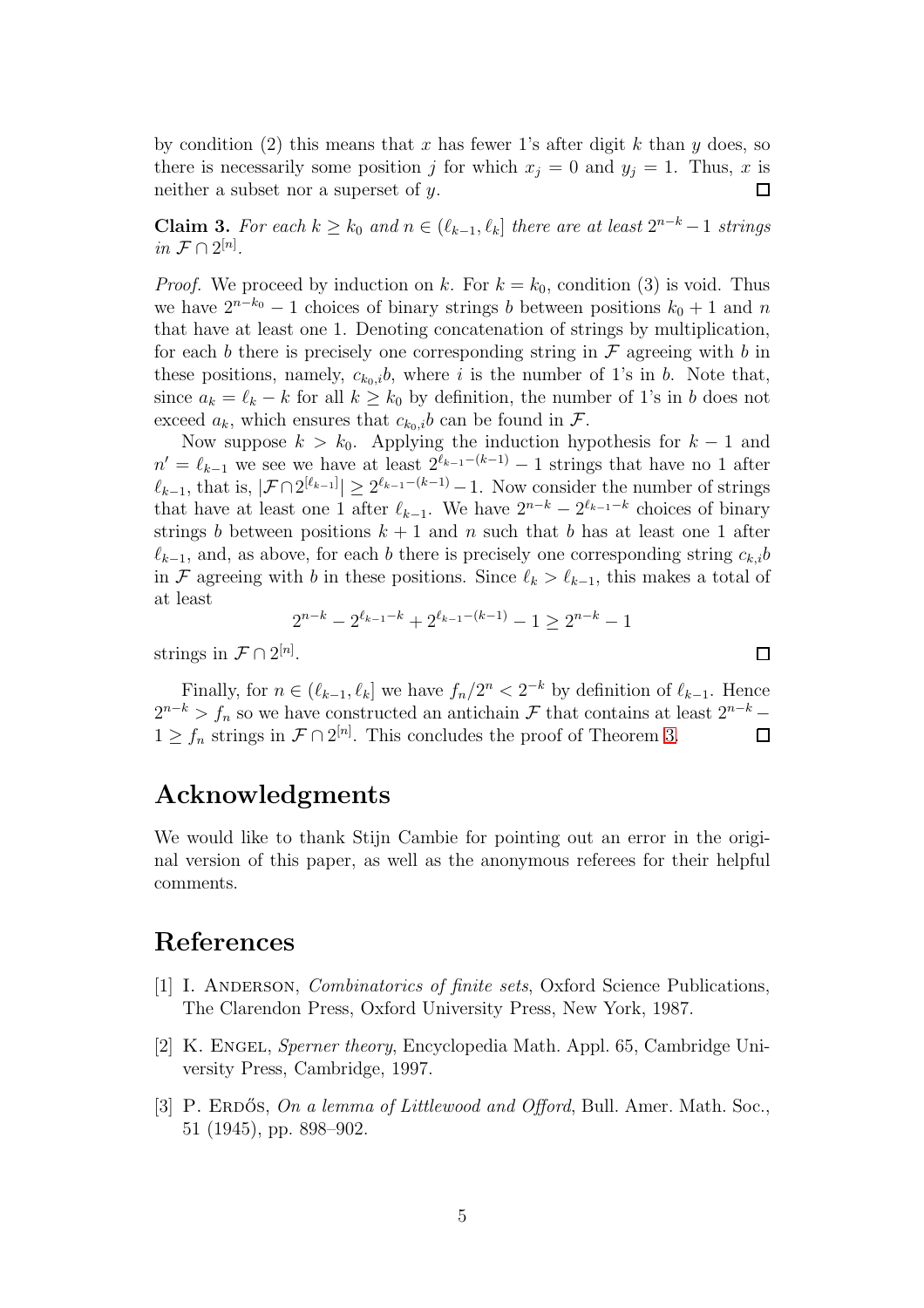by condition (2) this means that x has fewer 1's after digit k than y does, so there is necessarily some position j for which  $x_j = 0$  and  $y_j = 1$ . Thus, x is neither a subset nor a superset of  $y$ .

Claim 3. For each  $k \geq k_0$  and  $n \in (\ell_{k-1}, \ell_k]$  there are at least  $2^{n-k}-1$  strings in  $\mathcal{F} \cap 2^{[n]}$ .

*Proof.* We proceed by induction on k. For  $k = k_0$ , condition (3) is void. Thus we have  $2^{n-k_0} - 1$  choices of binary strings b between positions  $k_0 + 1$  and n that have at least one 1. Denoting concatenation of strings by multiplication, for each b there is precisely one corresponding string in  $\mathcal F$  agreeing with b in these positions, namely,  $c_{k_0,i}$ , where i is the number of 1's in b. Note that, since  $a_k = \ell_k - k$  for all  $k \geq k_0$  by definition, the number of 1's in b does not exceed  $a_k$ , which ensures that  $c_{k_0,i}b$  can be found in  $\mathcal{F}$ .

Now suppose  $k > k_0$ . Applying the induction hypothesis for  $k - 1$  and  $n' = \ell_{k-1}$  we see we have at least  $2^{\ell_{k-1}-(k-1)} - 1$  strings that have no 1 after  $\ell_{k-1}$ , that is,  $|\mathcal{F} \cap 2^{[\ell_{k-1}]}| \geq 2^{\ell_{k-1}-(k-1)}-1$ . Now consider the number of strings that have at least one 1 after  $\ell_{k-1}$ . We have  $2^{n-k} - 2^{\ell_{k-1}-k}$  choices of binary strings b between positions  $k + 1$  and n such that b has at least one 1 after  $\ell_{k-1}$ , and, as above, for each b there is precisely one corresponding string  $c_{k,i}$ in F agreeing with b in these positions. Since  $\ell_k > \ell_{k-1}$ , this makes a total of at least

$$
2^{n-k} - 2^{\ell_{k-1}-k} + 2^{\ell_{k-1}-(k-1)} - 1 \ge 2^{n-k} - 1
$$

 $\Box$ 

strings in  $\mathcal{F} \cap 2^{[n]}$ .

Finally, for  $n \in (\ell_{k-1}, \ell_k]$  we have  $f_n/2^n < 2^{-k}$  by definition of  $\ell_{k-1}$ . Hence  $2^{n-k} > f_n$  so we have constructed an antichain F that contains at least  $2^{n-k} 1 \ge f_n$  strings in  $\mathcal{F} \cap 2^{[n]}$ . This concludes the proof of Theorem [3.](#page-1-4)

### Acknowledgments

We would like to thank Stijn Cambie for pointing out an error in the original version of this paper, as well as the anonymous referees for their helpful comments.

## <span id="page-4-0"></span>References

- [1] I. Anderson, Combinatorics of finite sets, Oxford Science Publications, The Clarendon Press, Oxford University Press, New York, 1987.
- <span id="page-4-1"></span>[2] K. ENGEL, Sperner theory, Encyclopedia Math. Appl. 65, Cambridge University Press, Cambridge, 1997.
- <span id="page-4-2"></span>[3] P. ERDOS, On a lemma of Littlewood and Offord, Bull. Amer. Math. Soc., 51 (1945), pp. 898–902.